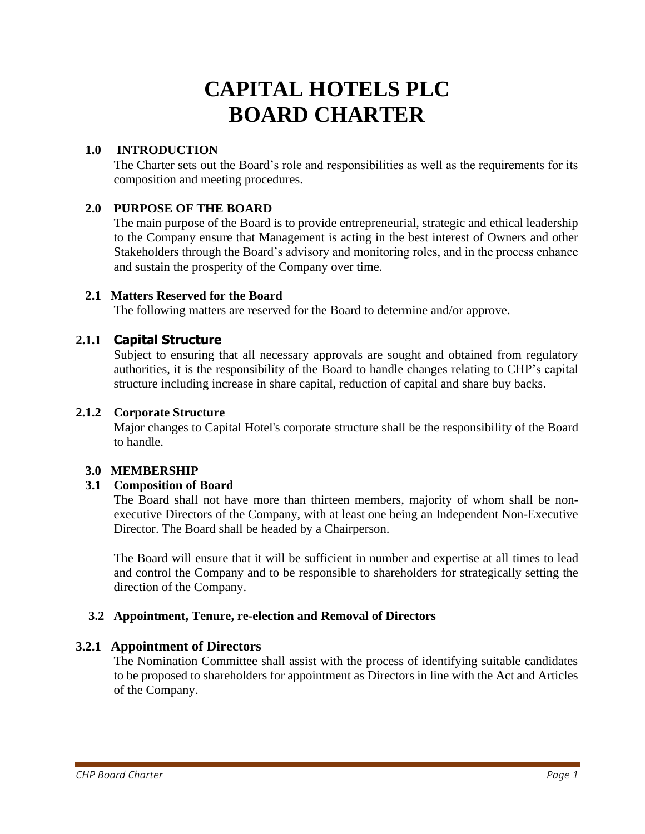# **CAPITAL HOTELS PLC BOARD CHARTER**

# **1.0 INTRODUCTION**

The Charter sets out the Board's role and responsibilities as well as the requirements for its composition and meeting procedures.

# **2.0 PURPOSE OF THE BOARD**

The main purpose of the Board is to provide entrepreneurial, strategic and ethical leadership to the Company ensure that Management is acting in the best interest of Owners and other Stakeholders through the Board's advisory and monitoring roles, and in the process enhance and sustain the prosperity of the Company over time.

## **2.1 Matters Reserved for the Board**

The following matters are reserved for the Board to determine and/or approve.

# **2.1.1 Capital Structure**

Subject to ensuring that all necessary approvals are sought and obtained from regulatory authorities, it is the responsibility of the Board to handle changes relating to CHP's capital structure including increase in share capital, reduction of capital and share buy backs.

#### **2.1.2 Corporate Structure**

Major changes to Capital Hotel's corporate structure shall be the responsibility of the Board to handle.

#### **3.0 MEMBERSHIP**

## **3.1 Composition of Board**

The Board shall not have more than thirteen members, majority of whom shall be nonexecutive Directors of the Company, with at least one being an Independent Non-Executive Director. The Board shall be headed by a Chairperson.

The Board will ensure that it will be sufficient in number and expertise at all times to lead and control the Company and to be responsible to shareholders for strategically setting the direction of the Company.

## **3.2 Appointment, Tenure, re-election and Removal of Directors**

## **3.2.1 Appointment of Directors**

The Nomination Committee shall assist with the process of identifying suitable candidates to be proposed to shareholders for appointment as Directors in line with the Act and Articles of the Company.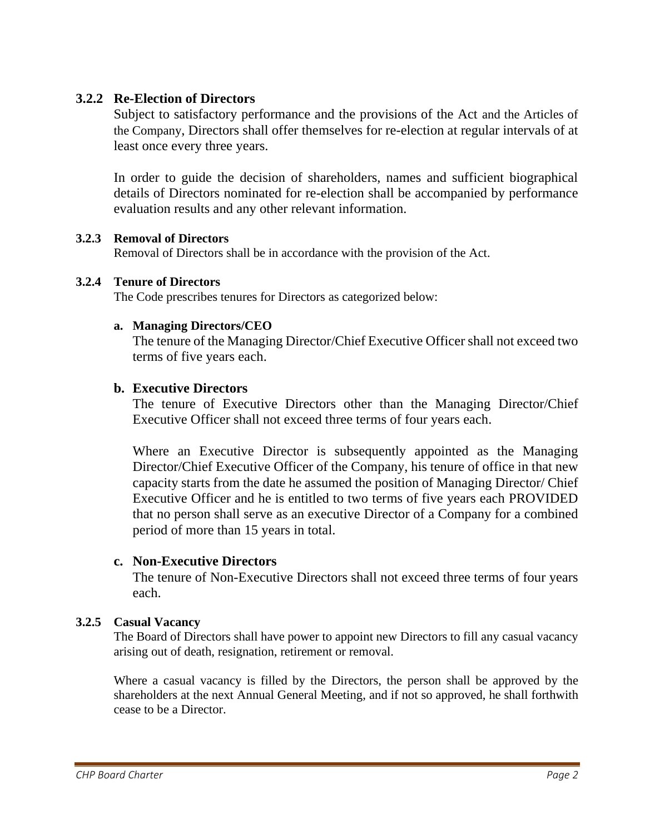# **3.2.2 Re-Election of Directors**

Subject to satisfactory performance and the provisions of the Act and the Articles of the Company, Directors shall offer themselves for re-election at regular intervals of at least once every three years.

In order to guide the decision of shareholders, names and sufficient biographical details of Directors nominated for re-election shall be accompanied by performance evaluation results and any other relevant information.

#### **3.2.3 Removal of Directors**

Removal of Directors shall be in accordance with the provision of the Act.

#### **3.2.4 Tenure of Directors**

The Code prescribes tenures for Directors as categorized below:

#### **a. Managing Directors/CEO**

The tenure of the Managing Director/Chief Executive Officer shall not exceed two terms of five years each.

## **b. Executive Directors**

The tenure of Executive Directors other than the Managing Director/Chief Executive Officer shall not exceed three terms of four years each.

Where an Executive Director is subsequently appointed as the Managing Director/Chief Executive Officer of the Company, his tenure of office in that new capacity starts from the date he assumed the position of Managing Director/ Chief Executive Officer and he is entitled to two terms of five years each PROVIDED that no person shall serve as an executive Director of a Company for a combined period of more than 15 years in total.

## **c. Non-Executive Directors**

The tenure of Non-Executive Directors shall not exceed three terms of four years each.

## **3.2.5 Casual Vacancy**

The Board of Directors shall have power to appoint new Directors to fill any casual vacancy arising out of death, resignation, retirement or removal.

Where a casual vacancy is filled by the Directors, the person shall be approved by the shareholders at the next Annual General Meeting, and if not so approved, he shall forthwith cease to be a Director.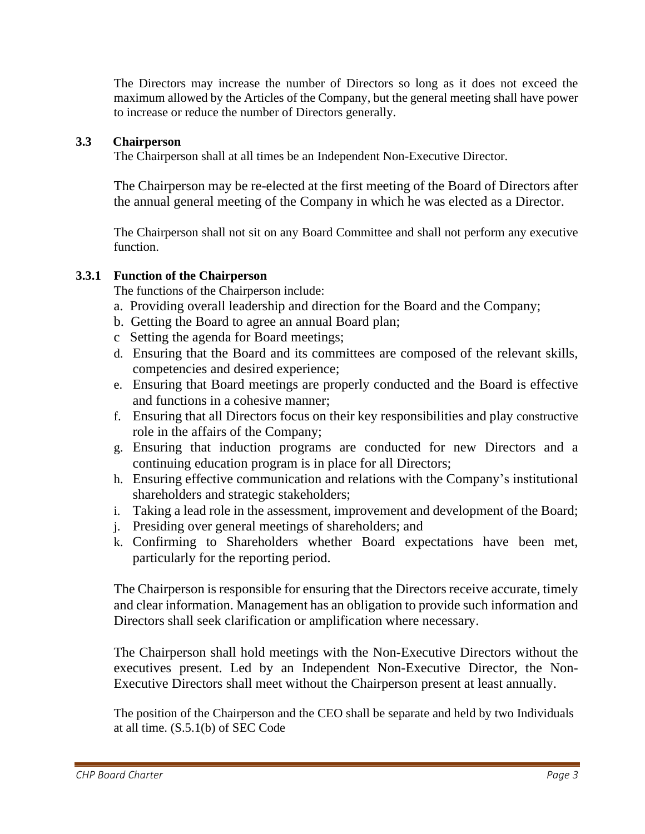The Directors may increase the number of Directors so long as it does not exceed the maximum allowed by the Articles of the Company, but the general meeting shall have power to increase or reduce the number of Directors generally.

## **3.3 Chairperson**

The Chairperson shall at all times be an Independent Non-Executive Director.

The Chairperson may be re-elected at the first meeting of the Board of Directors after the annual general meeting of the Company in which he was elected as a Director.

The Chairperson shall not sit on any Board Committee and shall not perform any executive function.

## **3.3.1 Function of the Chairperson**

The functions of the Chairperson include:

- a. Providing overall leadership and direction for the Board and the Company;
- b. Getting the Board to agree an annual Board plan;
- c Setting the agenda for Board meetings;
- d. Ensuring that the Board and its committees are composed of the relevant skills, competencies and desired experience;
- e. Ensuring that Board meetings are properly conducted and the Board is effective and functions in a cohesive manner;
- f. Ensuring that all Directors focus on their key responsibilities and play constructive role in the affairs of the Company;
- g. Ensuring that induction programs are conducted for new Directors and a continuing education program is in place for all Directors;
- h. Ensuring effective communication and relations with the Company's institutional shareholders and strategic stakeholders;
- i. Taking a lead role in the assessment, improvement and development of the Board;
- j. Presiding over general meetings of shareholders; and
- k. Confirming to Shareholders whether Board expectations have been met, particularly for the reporting period.

The Chairperson is responsible for ensuring that the Directors receive accurate, timely and clear information. Management has an obligation to provide such information and Directors shall seek clarification or amplification where necessary.

The Chairperson shall hold meetings with the Non-Executive Directors without the executives present. Led by an Independent Non-Executive Director, the Non-Executive Directors shall meet without the Chairperson present at least annually.

The position of the Chairperson and the CEO shall be separate and held by two Individuals at all time. (S.5.1(b) of SEC Code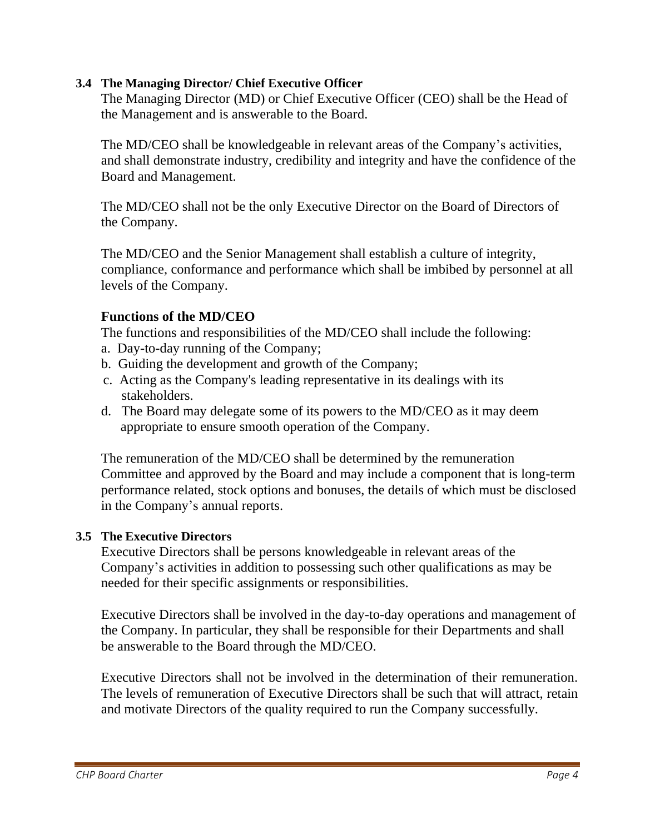# **3.4 The Managing Director/ Chief Executive Officer**

The Managing Director (MD) or Chief Executive Officer (CEO) shall be the Head of the Management and is answerable to the Board.

The MD/CEO shall be knowledgeable in relevant areas of the Company's activities, and shall demonstrate industry, credibility and integrity and have the confidence of the Board and Management.

The MD/CEO shall not be the only Executive Director on the Board of Directors of the Company.

The MD/CEO and the Senior Management shall establish a culture of integrity, compliance, conformance and performance which shall be imbibed by personnel at all levels of the Company.

# **Functions of the MD/CEO**

The functions and responsibilities of the MD/CEO shall include the following:

- a. Day-to-day running of the Company;
- b. Guiding the development and growth of the Company;
- c. Acting as the Company's leading representative in its dealings with its stakeholders.
- d. The Board may delegate some of its powers to the MD/CEO as it may deem appropriate to ensure smooth operation of the Company.

The remuneration of the MD/CEO shall be determined by the remuneration Committee and approved by the Board and may include a component that is long-term performance related, stock options and bonuses, the details of which must be disclosed in the Company's annual reports.

# **3.5 The Executive Directors**

Executive Directors shall be persons knowledgeable in relevant areas of the Company's activities in addition to possessing such other qualifications as may be needed for their specific assignments or responsibilities.

Executive Directors shall be involved in the day-to-day operations and management of the Company. In particular, they shall be responsible for their Departments and shall be answerable to the Board through the MD/CEO.

Executive Directors shall not be involved in the determination of their remuneration. The levels of remuneration of Executive Directors shall be such that will attract, retain and motivate Directors of the quality required to run the Company successfully.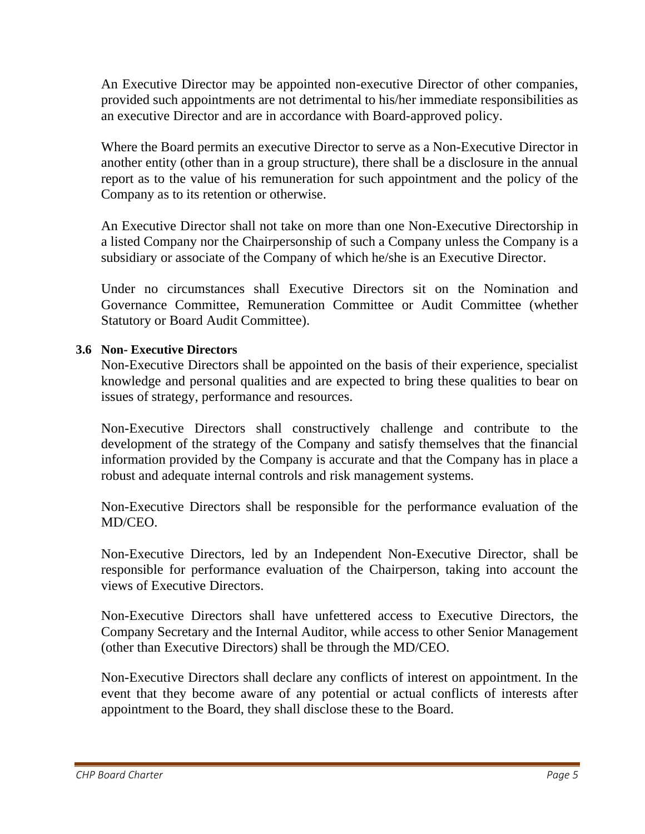An Executive Director may be appointed non-executive Director of other companies, provided such appointments are not detrimental to his/her immediate responsibilities as an executive Director and are in accordance with Board-approved policy.

Where the Board permits an executive Director to serve as a Non-Executive Director in another entity (other than in a group structure), there shall be a disclosure in the annual report as to the value of his remuneration for such appointment and the policy of the Company as to its retention or otherwise.

An Executive Director shall not take on more than one Non-Executive Directorship in a listed Company nor the Chairpersonship of such a Company unless the Company is a subsidiary or associate of the Company of which he/she is an Executive Director.

Under no circumstances shall Executive Directors sit on the Nomination and Governance Committee, Remuneration Committee or Audit Committee (whether Statutory or Board Audit Committee).

# **3.6 Non- Executive Directors**

Non-Executive Directors shall be appointed on the basis of their experience, specialist knowledge and personal qualities and are expected to bring these qualities to bear on issues of strategy, performance and resources.

Non-Executive Directors shall constructively challenge and contribute to the development of the strategy of the Company and satisfy themselves that the financial information provided by the Company is accurate and that the Company has in place a robust and adequate internal controls and risk management systems.

Non-Executive Directors shall be responsible for the performance evaluation of the MD/CEO.

Non-Executive Directors, led by an Independent Non-Executive Director, shall be responsible for performance evaluation of the Chairperson, taking into account the views of Executive Directors.

Non-Executive Directors shall have unfettered access to Executive Directors, the Company Secretary and the Internal Auditor, while access to other Senior Management (other than Executive Directors) shall be through the MD/CEO.

Non-Executive Directors shall declare any conflicts of interest on appointment. In the event that they become aware of any potential or actual conflicts of interests after appointment to the Board, they shall disclose these to the Board.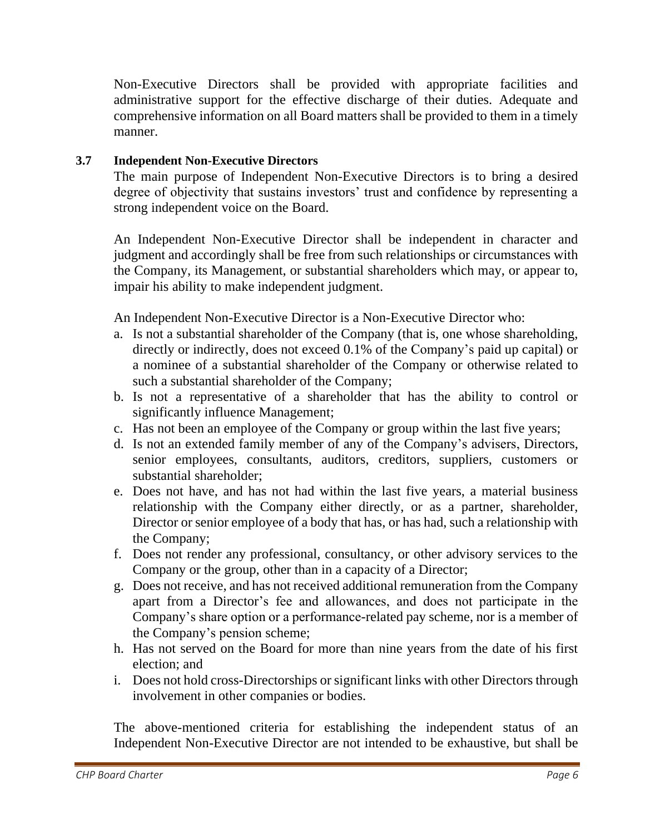Non-Executive Directors shall be provided with appropriate facilities and administrative support for the effective discharge of their duties. Adequate and comprehensive information on all Board matters shall be provided to them in a timely manner.

# **3.7 Independent Non-Executive Directors**

The main purpose of Independent Non-Executive Directors is to bring a desired degree of objectivity that sustains investors' trust and confidence by representing a strong independent voice on the Board.

An Independent Non-Executive Director shall be independent in character and judgment and accordingly shall be free from such relationships or circumstances with the Company, its Management, or substantial shareholders which may, or appear to, impair his ability to make independent judgment.

An Independent Non-Executive Director is a Non-Executive Director who:

- a. Is not a substantial shareholder of the Company (that is, one whose shareholding, directly or indirectly, does not exceed 0.1% of the Company's paid up capital) or a nominee of a substantial shareholder of the Company or otherwise related to such a substantial shareholder of the Company;
- b. Is not a representative of a shareholder that has the ability to control or significantly influence Management;
- c. Has not been an employee of the Company or group within the last five years;
- d. Is not an extended family member of any of the Company's advisers, Directors, senior employees, consultants, auditors, creditors, suppliers, customers or substantial shareholder;
- e. Does not have, and has not had within the last five years, a material business relationship with the Company either directly, or as a partner, shareholder, Director or senior employee of a body that has, or has had, such a relationship with the Company;
- f. Does not render any professional, consultancy, or other advisory services to the Company or the group, other than in a capacity of a Director;
- g. Does not receive, and has not received additional remuneration from the Company apart from a Director's fee and allowances, and does not participate in the Company's share option or a performance-related pay scheme, nor is a member of the Company's pension scheme;
- h. Has not served on the Board for more than nine years from the date of his first election; and
- i. Does not hold cross-Directorships or significant links with other Directors through involvement in other companies or bodies.

The above-mentioned criteria for establishing the independent status of an Independent Non-Executive Director are not intended to be exhaustive, but shall be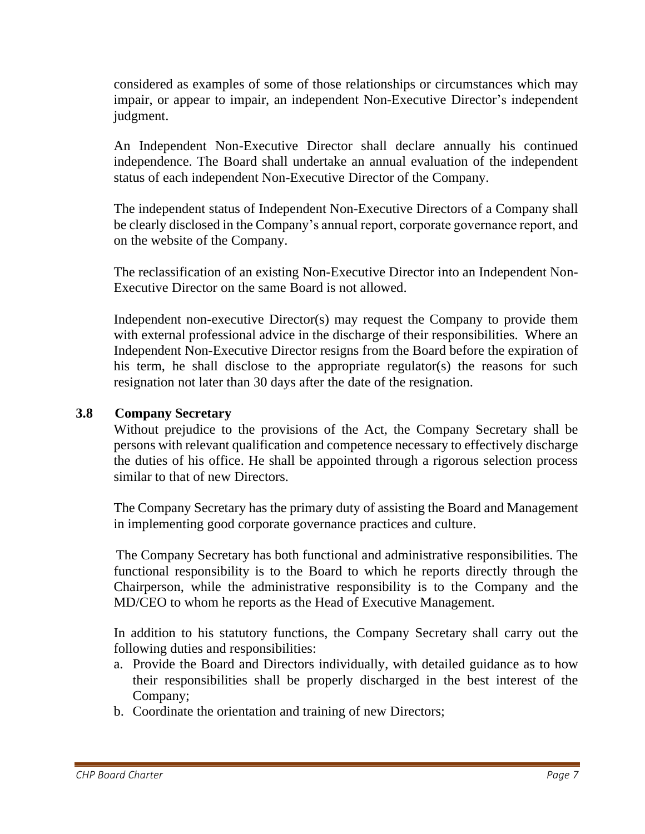considered as examples of some of those relationships or circumstances which may impair, or appear to impair, an independent Non-Executive Director's independent judgment.

An Independent Non-Executive Director shall declare annually his continued independence. The Board shall undertake an annual evaluation of the independent status of each independent Non-Executive Director of the Company.

The independent status of Independent Non-Executive Directors of a Company shall be clearly disclosed in the Company's annual report, corporate governance report, and on the website of the Company.

The reclassification of an existing Non-Executive Director into an Independent Non-Executive Director on the same Board is not allowed.

Independent non-executive Director(s) may request the Company to provide them with external professional advice in the discharge of their responsibilities. Where an Independent Non-Executive Director resigns from the Board before the expiration of his term, he shall disclose to the appropriate regulator(s) the reasons for such resignation not later than 30 days after the date of the resignation.

# **3.8 Company Secretary**

Without prejudice to the provisions of the Act, the Company Secretary shall be persons with relevant qualification and competence necessary to effectively discharge the duties of his office. He shall be appointed through a rigorous selection process similar to that of new Directors.

The Company Secretary has the primary duty of assisting the Board and Management in implementing good corporate governance practices and culture.

The Company Secretary has both functional and administrative responsibilities. The functional responsibility is to the Board to which he reports directly through the Chairperson, while the administrative responsibility is to the Company and the MD/CEO to whom he reports as the Head of Executive Management.

In addition to his statutory functions, the Company Secretary shall carry out the following duties and responsibilities:

- a. Provide the Board and Directors individually, with detailed guidance as to how their responsibilities shall be properly discharged in the best interest of the Company;
- b. Coordinate the orientation and training of new Directors;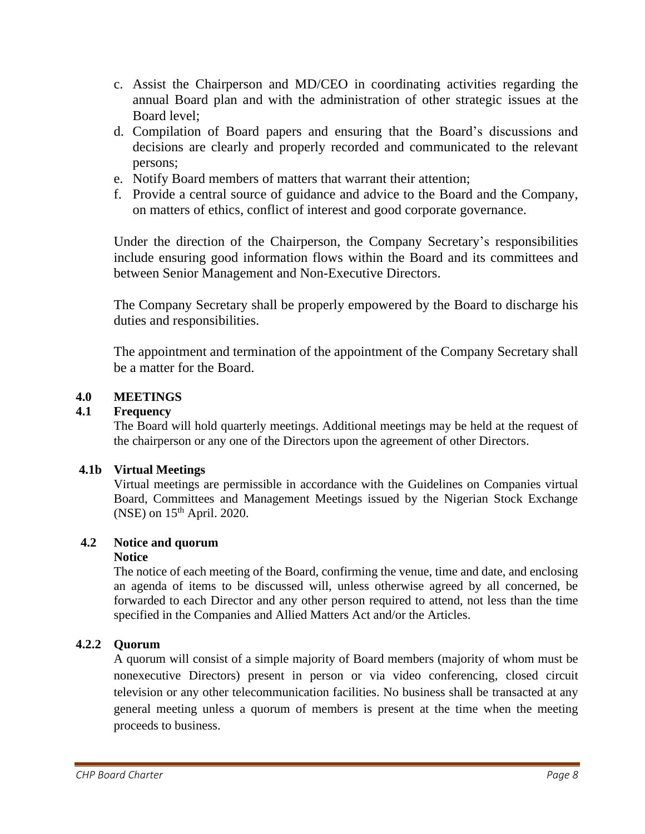- c. Assist the Chairperson and MD/CEO in coordinating activities regarding the annual Board plan and with the administration of other strategic issues at the Board level;
- d. Compilation of Board papers and ensuring that the Board's discussions and decisions are clearly and properly recorded and communicated to the relevant persons;
- e. Notify Board members of matters that warrant their attention;
- f. Provide a central source of guidance and advice to the Board and the Company, on matters of ethics, conflict of interest and good corporate governance.

Under the direction of the Chairperson, the Company Secretary's responsibilities include ensuring good information flows within the Board and its committees and between Senior Management and Non-Executive Directors.

The Company Secretary shall be properly empowered by the Board to discharge his duties and responsibilities.

The appointment and termination of the appointment of the Company Secretary shall be a matter for the Board.

# **4.0 MEETINGS**

# **4.1 Frequency**

The Board will hold quarterly meetings. Additional meetings may be held at the request of the chairperson or any one of the Directors upon the agreement of other Directors.

# **4.1b Virtual Meetings**

Virtual meetings are permissible in accordance with the Guidelines on Companies virtual Board, Committees and Management Meetings issued by the Nigerian Stock Exchange (NSE) on  $15<sup>th</sup>$  April. 2020.

# **4.2 Notice and quorum**

# **Notice**

The notice of each meeting of the Board, confirming the venue, time and date, and enclosing an agenda of items to be discussed will, unless otherwise agreed by all concerned, be forwarded to each Director and any other person required to attend, not less than the time specified in the Companies and Allied Matters Act and/or the Articles.

# **4.2.2 Quorum**

A quorum will consist of a simple majority of Board members (majority of whom must be nonexecutive Directors) present in person or via video conferencing, closed circuit television or any other telecommunication facilities. No business shall be transacted at any general meeting unless a quorum of members is present at the time when the meeting proceeds to business.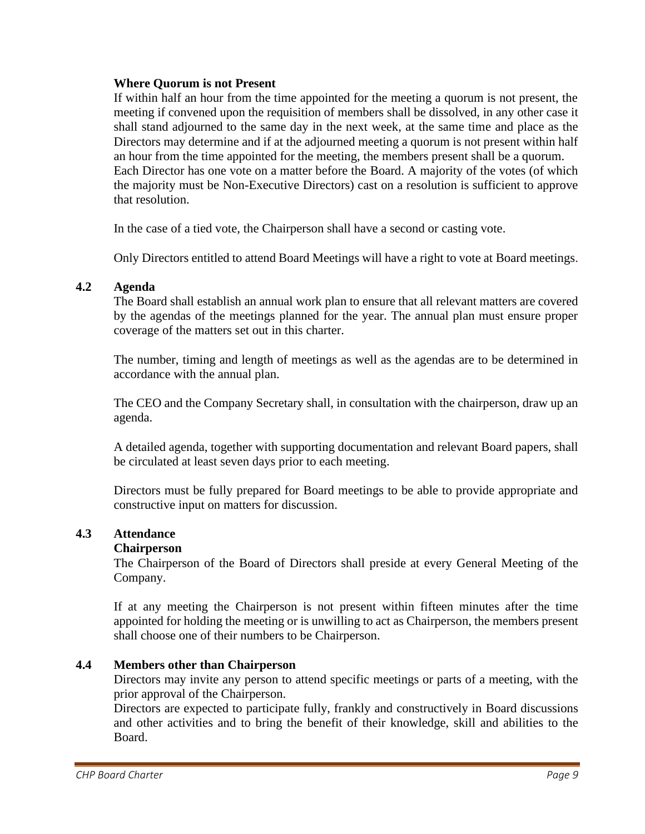#### **Where Quorum is not Present**

If within half an hour from the time appointed for the meeting a quorum is not present, the meeting if convened upon the requisition of members shall be dissolved, in any other case it shall stand adjourned to the same day in the next week, at the same time and place as the Directors may determine and if at the adjourned meeting a quorum is not present within half an hour from the time appointed for the meeting, the members present shall be a quorum. Each Director has one vote on a matter before the Board. A majority of the votes (of which the majority must be Non-Executive Directors) cast on a resolution is sufficient to approve that resolution.

In the case of a tied vote, the Chairperson shall have a second or casting vote.

Only Directors entitled to attend Board Meetings will have a right to vote at Board meetings.

#### **4.2 Agenda**

The Board shall establish an annual work plan to ensure that all relevant matters are covered by the agendas of the meetings planned for the year. The annual plan must ensure proper coverage of the matters set out in this charter.

The number, timing and length of meetings as well as the agendas are to be determined in accordance with the annual plan.

The CEO and the Company Secretary shall, in consultation with the chairperson, draw up an agenda.

A detailed agenda, together with supporting documentation and relevant Board papers, shall be circulated at least seven days prior to each meeting.

Directors must be fully prepared for Board meetings to be able to provide appropriate and constructive input on matters for discussion.

#### **4.3 Attendance**

#### **Chairperson**

The Chairperson of the Board of Directors shall preside at every General Meeting of the Company.

If at any meeting the Chairperson is not present within fifteen minutes after the time appointed for holding the meeting or is unwilling to act as Chairperson, the members present shall choose one of their numbers to be Chairperson.

## **4.4 Members other than Chairperson**

Directors may invite any person to attend specific meetings or parts of a meeting, with the prior approval of the Chairperson.

Directors are expected to participate fully, frankly and constructively in Board discussions and other activities and to bring the benefit of their knowledge, skill and abilities to the Board.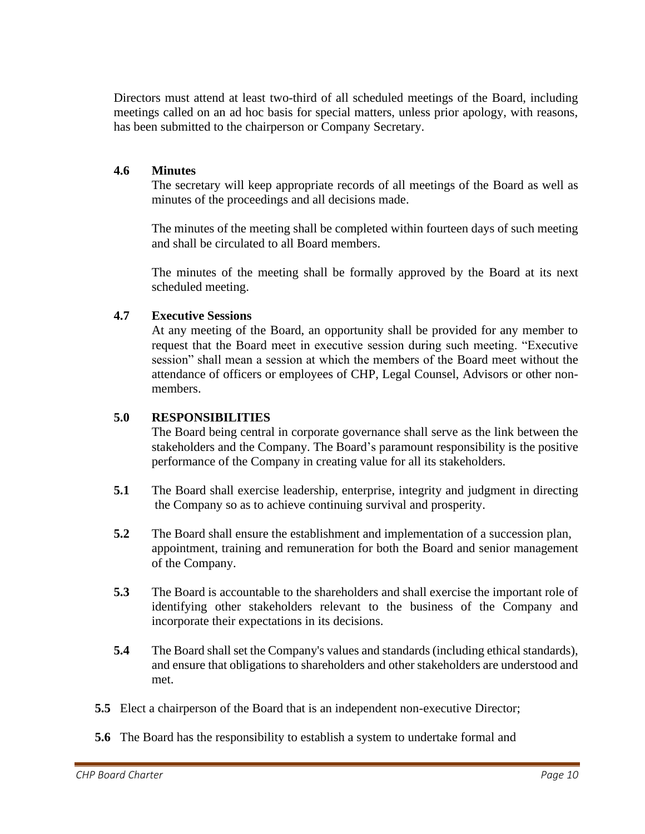Directors must attend at least two-third of all scheduled meetings of the Board, including meetings called on an ad hoc basis for special matters, unless prior apology, with reasons, has been submitted to the chairperson or Company Secretary.

#### **4.6 Minutes**

The secretary will keep appropriate records of all meetings of the Board as well as minutes of the proceedings and all decisions made.

The minutes of the meeting shall be completed within fourteen days of such meeting and shall be circulated to all Board members.

The minutes of the meeting shall be formally approved by the Board at its next scheduled meeting.

#### **4.7 Executive Sessions**

At any meeting of the Board, an opportunity shall be provided for any member to request that the Board meet in executive session during such meeting. "Executive session" shall mean a session at which the members of the Board meet without the attendance of officers or employees of CHP, Legal Counsel, Advisors or other nonmembers.

#### **5.0 RESPONSIBILITIES**

The Board being central in corporate governance shall serve as the link between the stakeholders and the Company. The Board's paramount responsibility is the positive performance of the Company in creating value for all its stakeholders.

- **5.1** The Board shall exercise leadership, enterprise, integrity and judgment in directing the Company so as to achieve continuing survival and prosperity.
- **5.2** The Board shall ensure the establishment and implementation of a succession plan, appointment, training and remuneration for both the Board and senior management of the Company.
- **5.3** The Board is accountable to the shareholders and shall exercise the important role of identifying other stakeholders relevant to the business of the Company and incorporate their expectations in its decisions.
- **5.4** The Board shall set the Company's values and standards (including ethical standards), and ensure that obligations to shareholders and other stakeholders are understood and met.
- **5.5** Elect a chairperson of the Board that is an independent non-executive Director;
- **5.6** The Board has the responsibility to establish a system to undertake formal and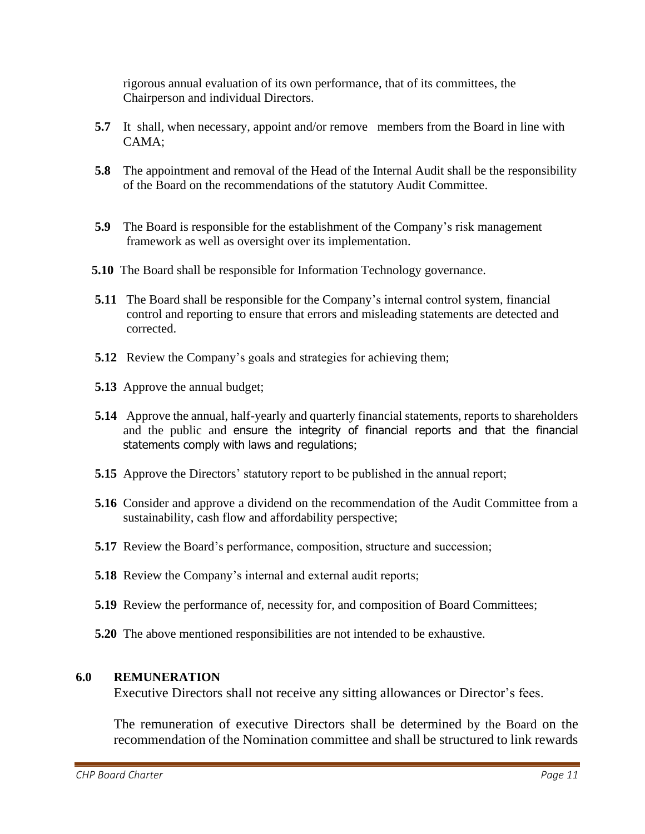rigorous annual evaluation of its own performance, that of its committees, the Chairperson and individual Directors.

- **5.7** It shall, when necessary, appoint and/or remove members from the Board in line with CAMA;
- **5.8** The appointment and removal of the Head of the Internal Audit shall be the responsibility of the Board on the recommendations of the statutory Audit Committee.
- **5.9** The Board is responsible for the establishment of the Company's risk management framework as well as oversight over its implementation.
- **5.10** The Board shall be responsible for Information Technology governance.
- **5.11** The Board shall be responsible for the Company's internal control system, financial control and reporting to ensure that errors and misleading statements are detected and corrected.
- **5.12** Review the Company's goals and strategies for achieving them;
- **5.13** Approve the annual budget;
- **5.14** Approve the annual, half-yearly and quarterly financial statements, reports to shareholders and the public and ensure the integrity of financial reports and that the financial statements comply with laws and regulations;
- **5.15** Approve the Directors' statutory report to be published in the annual report;
- **5.16** Consider and approve a dividend on the recommendation of the Audit Committee from a sustainability, cash flow and affordability perspective;
- **5.17** Review the Board's performance, composition, structure and succession;
- **5.18** Review the Company's internal and external audit reports;
- **5.19** Review the performance of, necessity for, and composition of Board Committees;
- **5.20** The above mentioned responsibilities are not intended to be exhaustive.

#### **6.0 REMUNERATION**

Executive Directors shall not receive any sitting allowances or Director's fees.

The remuneration of executive Directors shall be determined by the Board on the recommendation of the Nomination committee and shall be structured to link rewards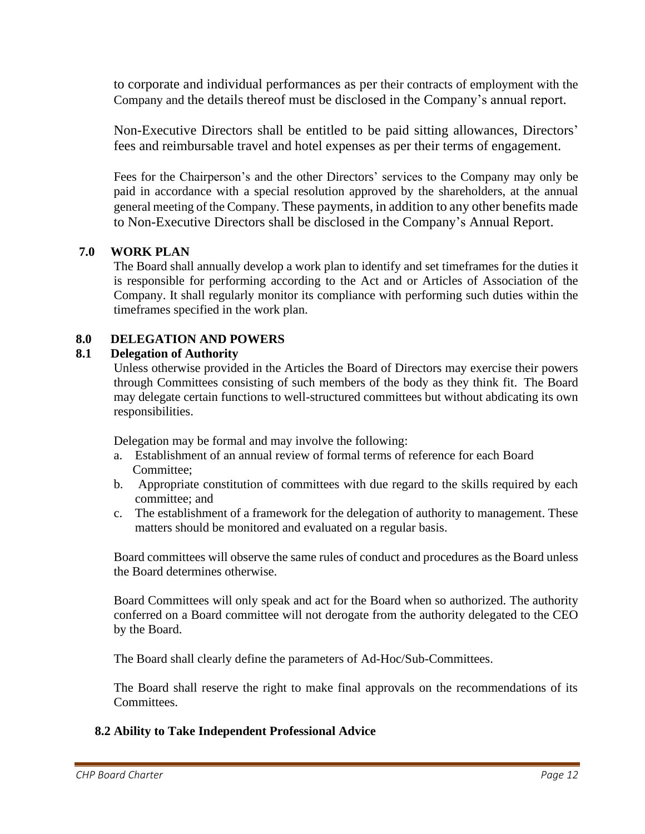to corporate and individual performances as per their contracts of employment with the Company and the details thereof must be disclosed in the Company's annual report.

Non-Executive Directors shall be entitled to be paid sitting allowances, Directors' fees and reimbursable travel and hotel expenses as per their terms of engagement.

Fees for the Chairperson's and the other Directors' services to the Company may only be paid in accordance with a special resolution approved by the shareholders, at the annual general meeting of the Company. These payments, in addition to any other benefits made to Non-Executive Directors shall be disclosed in the Company's Annual Report.

## **7.0 WORK PLAN**

The Board shall annually develop a work plan to identify and set timeframes for the duties it is responsible for performing according to the Act and or Articles of Association of the Company. It shall regularly monitor its compliance with performing such duties within the timeframes specified in the work plan.

## **8.0 DELEGATION AND POWERS**

#### **8.1 Delegation of Authority**

Unless otherwise provided in the Articles the Board of Directors may exercise their powers through Committees consisting of such members of the body as they think fit. The Board may delegate certain functions to well-structured committees but without abdicating its own responsibilities.

Delegation may be formal and may involve the following:

- a. Establishment of an annual review of formal terms of reference for each Board Committee;
- b. Appropriate constitution of committees with due regard to the skills required by each committee; and
- c. The establishment of a framework for the delegation of authority to management. These matters should be monitored and evaluated on a regular basis.

Board committees will observe the same rules of conduct and procedures as the Board unless the Board determines otherwise.

Board Committees will only speak and act for the Board when so authorized. The authority conferred on a Board committee will not derogate from the authority delegated to the CEO by the Board.

The Board shall clearly define the parameters of Ad-Hoc/Sub-Committees.

The Board shall reserve the right to make final approvals on the recommendations of its Committees.

#### **8.2 Ability to Take Independent Professional Advice**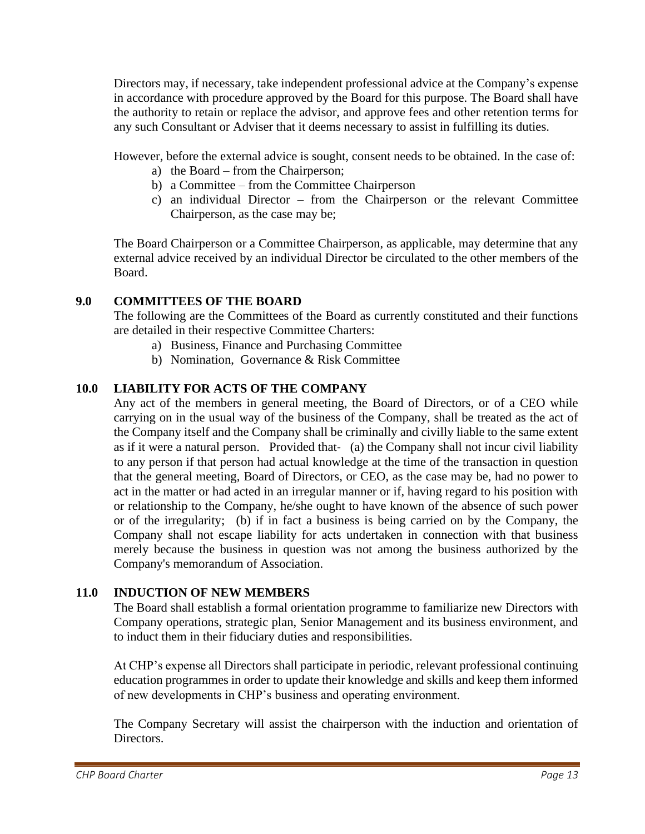Directors may, if necessary, take independent professional advice at the Company's expense in accordance with procedure approved by the Board for this purpose. The Board shall have the authority to retain or replace the advisor, and approve fees and other retention terms for any such Consultant or Adviser that it deems necessary to assist in fulfilling its duties.

However, before the external advice is sought, consent needs to be obtained. In the case of:

- a) the Board from the Chairperson;
- b) a Committee from the Committee Chairperson
- c) an individual Director from the Chairperson or the relevant Committee Chairperson, as the case may be;

The Board Chairperson or a Committee Chairperson, as applicable, may determine that any external advice received by an individual Director be circulated to the other members of the Board.

# **9.0 COMMITTEES OF THE BOARD**

The following are the Committees of the Board as currently constituted and their functions are detailed in their respective Committee Charters:

- a) Business, Finance and Purchasing Committee
- b) Nomination, Governance & Risk Committee

# **10.0 LIABILITY FOR ACTS OF THE COMPANY**

Any act of the members in general meeting, the Board of Directors, or of a CEO while carrying on in the usual way of the business of the Company, shall be treated as the act of the Company itself and the Company shall be criminally and civilly liable to the same extent as if it were a natural person. Provided that- (a) the Company shall not incur civil liability to any person if that person had actual knowledge at the time of the transaction in question that the general meeting, Board of Directors, or CEO, as the case may be, had no power to act in the matter or had acted in an irregular manner or if, having regard to his position with or relationship to the Company, he/she ought to have known of the absence of such power or of the irregularity; (b) if in fact a business is being carried on by the Company, the Company shall not escape liability for acts undertaken in connection with that business merely because the business in question was not among the business authorized by the Company's memorandum of Association.

## **11.0 INDUCTION OF NEW MEMBERS**

The Board shall establish a formal orientation programme to familiarize new Directors with Company operations, strategic plan, Senior Management and its business environment, and to induct them in their fiduciary duties and responsibilities.

At CHP's expense all Directors shall participate in periodic, relevant professional continuing education programmes in order to update their knowledge and skills and keep them informed of new developments in CHP's business and operating environment.

The Company Secretary will assist the chairperson with the induction and orientation of Directors.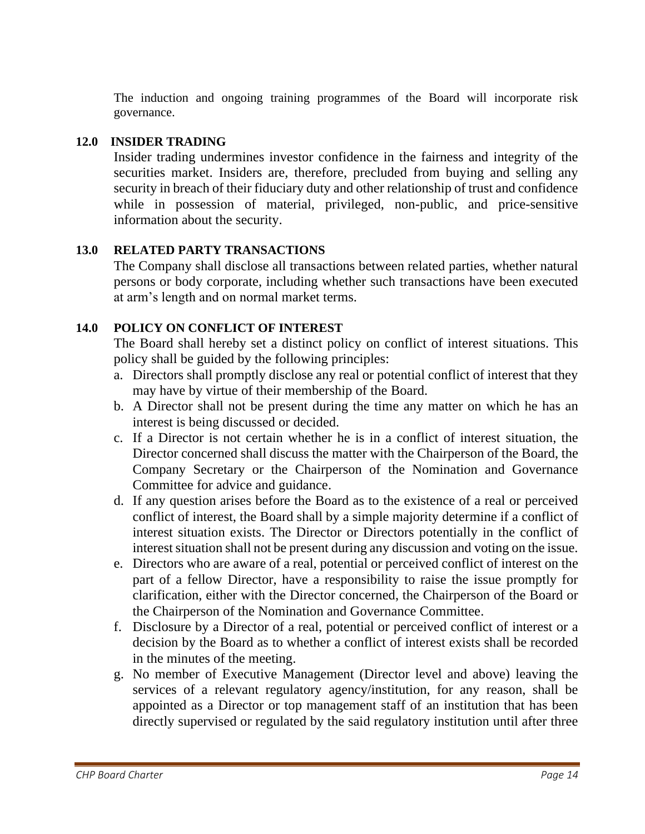The induction and ongoing training programmes of the Board will incorporate risk governance.

# **12.0 INSIDER TRADING**

Insider trading undermines investor confidence in the fairness and integrity of the securities market. Insiders are, therefore, precluded from buying and selling any security in breach of their fiduciary duty and other relationship of trust and confidence while in possession of material, privileged, non-public, and price-sensitive information about the security.

# **13.0 RELATED PARTY TRANSACTIONS**

The Company shall disclose all transactions between related parties, whether natural persons or body corporate, including whether such transactions have been executed at arm's length and on normal market terms.

# **14.0 POLICY ON CONFLICT OF INTEREST**

The Board shall hereby set a distinct policy on conflict of interest situations. This policy shall be guided by the following principles:

- a. Directors shall promptly disclose any real or potential conflict of interest that they may have by virtue of their membership of the Board.
- b. A Director shall not be present during the time any matter on which he has an interest is being discussed or decided.
- c. If a Director is not certain whether he is in a conflict of interest situation, the Director concerned shall discuss the matter with the Chairperson of the Board, the Company Secretary or the Chairperson of the Nomination and Governance Committee for advice and guidance.
- d. If any question arises before the Board as to the existence of a real or perceived conflict of interest, the Board shall by a simple majority determine if a conflict of interest situation exists. The Director or Directors potentially in the conflict of interest situation shall not be present during any discussion and voting on the issue.
- e. Directors who are aware of a real, potential or perceived conflict of interest on the part of a fellow Director, have a responsibility to raise the issue promptly for clarification, either with the Director concerned, the Chairperson of the Board or the Chairperson of the Nomination and Governance Committee.
- f. Disclosure by a Director of a real, potential or perceived conflict of interest or a decision by the Board as to whether a conflict of interest exists shall be recorded in the minutes of the meeting.
- g. No member of Executive Management (Director level and above) leaving the services of a relevant regulatory agency/institution, for any reason, shall be appointed as a Director or top management staff of an institution that has been directly supervised or regulated by the said regulatory institution until after three